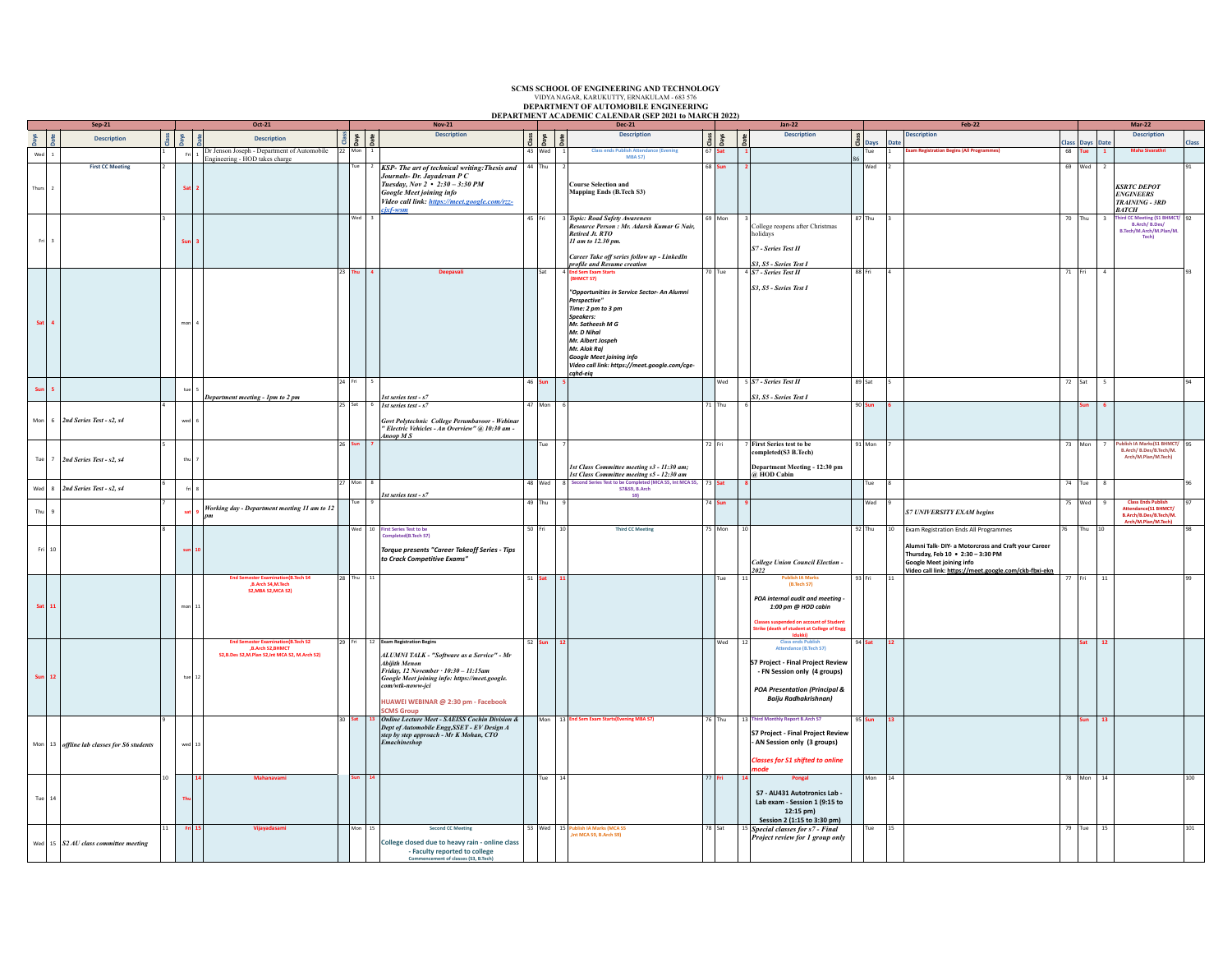## **SCMS SCHOOL OF ENGINEERING AND TECHNOLOGY** VIDYA NAGAR, KARUKUTTY, ERNAKULAM - 683 576 **DEPARTMENT OF AUTOMOBILE ENGINEERING DEPARTMENT ACADEMIC CALENDAR (SEP 2021 to MARCH 2022) Sep-21 Oct-21 Nov-21 Dec-21 Jan-22 Feb-22 Mar-22 Class Days Date Description**  $\frac{\text{d}\ddot{\text{s}}}{\text{d}\text{s}}$ **Description Class Days Date Description Class Days**  $\frac{9}{2}$ **Description Class Days Date Description Class Days Date Description Class**  $\begin{array}{|c|c|c|c|}\n\hline\n\text{1} & & & 1 \\
\hline\n\end{array}$ Fri 1 Dr Jenson Joseph - Department of Automobile<br>Engineering - HOD takes charge 22 Mon 1 43 Wed 1 **Class ends Publish Attendance (Evening MBA S7)** 67 **Sat 1** 86 **Tue** 1 **Exam Registration Begins (All Programmes)** 68 **Sat 2** KSP- The art of technical writing: Thesis and *Journals- Dr. Jayadevan P C Tuesday, Nov 2 • 2:30 – 3:30 PM Google Meet joining info Video call link: https://meet.google.com/rzzcjxf-wsm*  $44$  Thu **Course Selection and Mapping Ends (B.Tech S3)** 68 **Sun 2** Wed 2 69 Wed 2 *KSRTC DEPOT<br>ENGINEERS<br>TRAINING - 3RD<br>BATCH*<br>Third CC Maating (51 BM 91 3 **Sun 3** Wed 3 45 Fri 3 *Topic: Road Safety Awareness Resource Person : Mr. Adarsh Kumar G Nair, Retired Jt. RTO 11 am to 12.30 pm. Career Take off series follow up - LinkedIn profile and Resume creation* 69 Mon 3 College reopens after Christmas holidays *S7 - Series Test II* **S3, S5 - Series Test I**<br>70 Tue 4 *S7 - Series Test II* 87 Thu 3 Third CC Meeting (S1 BHMCT/<br>B.Arch/ B.Des/<br>B.Tech/M.Arch/M.Plan/M. **Tech)** 92 **Sat 4 a 1 a 1 a 1 a 1 a 1 a 1 a 1 a 1 a 1 a 1** 23 **Thu** 4 **Community Community Community Separation in the Sem Exam Starts (Sat 4 <b>End Sem Exam Starts (BHMCT S7)** *"Opportunities in Service Sector- An Alumni Perspective" Time: 2 pm to 3 pm Speakers: Mr. Satheesh M G Mr. D Nihal Mr. Albert Jospeh Mr. Alok Raj Google Meet joining info Video call link: https://meet.google.com/cgecqhd-eiq S3, S5 - Series Test I* 88 Fri 4 71 Fri 4 93 **Sun 5** tue 5 tue 5 tue 5 tue 5 tue 5 tue 5 tue 5 tue 5 tue 5 tue 5 tue 5 tue 5 tue 5 tue 5 tue 5 tue 5 tue 5 tue *Department meeting - 1pm to 2 pm* 24 Fri 5 *1st series test - s7* 46 **Sun 5** Wed 5 *S7 - Series Test II S3, S5 - Series Test I* 89 Sat | 5 | 94 | 94 | 95 | 96 | 972 | Sat | 5 | 96 | 972 | Sat | 5 | 972 | Sat | 5 | 972 | 98 4 wed 6 25 Sat 6 *1st series test - s7 Govt Polytechnic College Perumbavoor - Webinar " Electric Vehicles - An Overview" @ 10:30 am - Anoop M S* 47 Mon 6 71 Thu 6 90 **Sun 6 Sun 6**

72 Fri 7 **First Series test to be completed(S3 B.Tech)**

*2022*

**Department Meeting - 12:30 pm @ HOD Cabin**

*College Union Council Election -* 

 **(B.Tech S7)** *POA internal audit and meeting - 1:00 pm @ HOD cabin* **Classes suspended on account of Student Strike (death of student at College of Engg Idukki)**

**S7 Project - Final Project Review - FN Session only (4 groups)** *POA Presentation (Principal & Baiju Radhakrishnan)*

**S7 Project - Final Project Review - AN Session only (3 groups)** *Classes for S1 shifted to online mode*

**S7 - AU431 Autotronics Lab - Lab exam - Session 1 (9:15 to 12:15 pm) Session 2 (1:15 to 3:30 pm)**

<sup>5</sup> Special classes for s7 - Final<br>*Project review for 1 group only* 

<sup>91</sup> Mon <sup>7</sup> <sup>73</sup> Mon <sup>7</sup> **Publish IA Marks(S1 BHMCT/ B.Arch/ B.Des/B.Tech/M. Arch/M.Plan/M.Tech)**

93 Fri 11 77 Fri 11 99

Mon 14 78 Mon 14 100

Tue 15 | 101

73 **Sat 8** Tue 8 74 Tue 8 96

*S7 UNIVERSITY EXAM begins*

Exam Registration Ends All Programmes **Alumni Talk- DIY- a Motorcross and Craft your Career Thursday, Feb 10 • 2:30 – 3:30 PM Google Meet joining info Video call link: https://me** 

94 **Sat 12 Sat 12**

95 **Sun 13 Sun 13**

95

97

<sup>75</sup> Wed <sup>9</sup> **Class Ends Publish Attendance(S1 BHMCT/ B.Arch/B.Des/B.Tech/M. Arch/M.Plan/M.Tech)**

76 Thu 10 98

*1st Class Committee meeting s3 - 11:30 am; 1st Class Committee meeitng s5 - 12:30 am*

48 Wed 8 Second Series Test to be Completed (MCA S5, Int MCA S5,<br>
S7&S9, B.Arch<br>
S9)

28 Thu 11 51 **Sat 11** Tue 11 **Publish IA Marks**

53 Wed 15 **Publish IA Marks (MCA S5 ,Int MCA S9, B.Arch S9)**

Tue 9 49 Thu 9 74 **Sun 9** Wed 9

50 Fri 10 **Third CC Meeting** 75 Mon 10

**52 Sun 12** Class ends Publish<br> **12** Attendance (B.Tech S7)

Mon 13 **End Sem Exam Starts(Evening MBA S7)** 76 Thu 13 **Third Monthly Report B.Arch S7**

26 **Sun 7** Tue 7

*Torque presents "Career Takeoff Series - Tips to Crack Competitive Exams"*

*ALUMNI TALK - "Software as a Service" - Mr Abijith Menon Friday, 12 November · 10:30 – 11:15am Google Meet joining info: https://meet.google. com/wtk-noww-jci* **HUAWEI WEBINAR @ 2:30 pm - Facebook** 

**College closed due to heavy rain - online class - Faculty reported to college Comment of classes (S3, B.Te** 

**14 Mahanavami Sun 14** Tue 14 77 **Fri 14 Pongal**

<sup>30</sup> **Sat <sup>13</sup>** *Online Lecture Meet - SAEISS Cochin Division & Dept of Automobile Engg,SSET - EV Design A step by step approach - Mr K Mohan, CTO Emachineshop*

27 Mon 8

**sat <sup>9</sup>** *Working day - Department meeting 11 am to 12* 

**End Semester Examination(B.Tech S4 ,B.Arch S4,M.Tech S2,MBA S2,MCA S2)**

**End Semester Examination(B.Tech S2 ,B.Arch S2,BHMCT S2,B.Des S2,M.Plan S2,Int MCA S2, M.Arch S2)**

11 **Fri 15 Vijayadasami** Mon 15 **Second CC Meeting**

*1st series test - s7*

**29 Francisco Begins** 

**CMS** Group

Wed 10 **First Series Test to be Completed(B.Tech S7)**

**Days Date**

Thurs 2

Fri 3

Mon 6 *2nd Series Test - s2, s4*

Tue 7 *2nd Series Test - s2, s4*

Wed 8 *2nd Series Test - s2, s4*

Thu  $9$ 

Fri | 10 |

Tue  $14$ 

5 thu<sub>7</sub>

6 fri 8

7

8

9

10 **Thu**

wed 13

**Sat** | **11** | mon | 11 | mon | 11 | mon | 11 | mon | 11 | mon | 11 | mon | 11 | mon | 11 | mon | 11 | mon | 11 | mon | 12 |  $\frac{1}{2}$ 

**Sun | 12** | tue | 12 | tue | 12 | tue | 12 | tue | 12 | tue | 12 | tue | 12 | tue | 12 | tue | 12 | tue | 12 | tue

Mon 13 *offline lab classes for S6 students*

Wed 15 *S2 AU class committee meeting* 

*pm*

**sun 10**

**Description**

**First CC Meeting**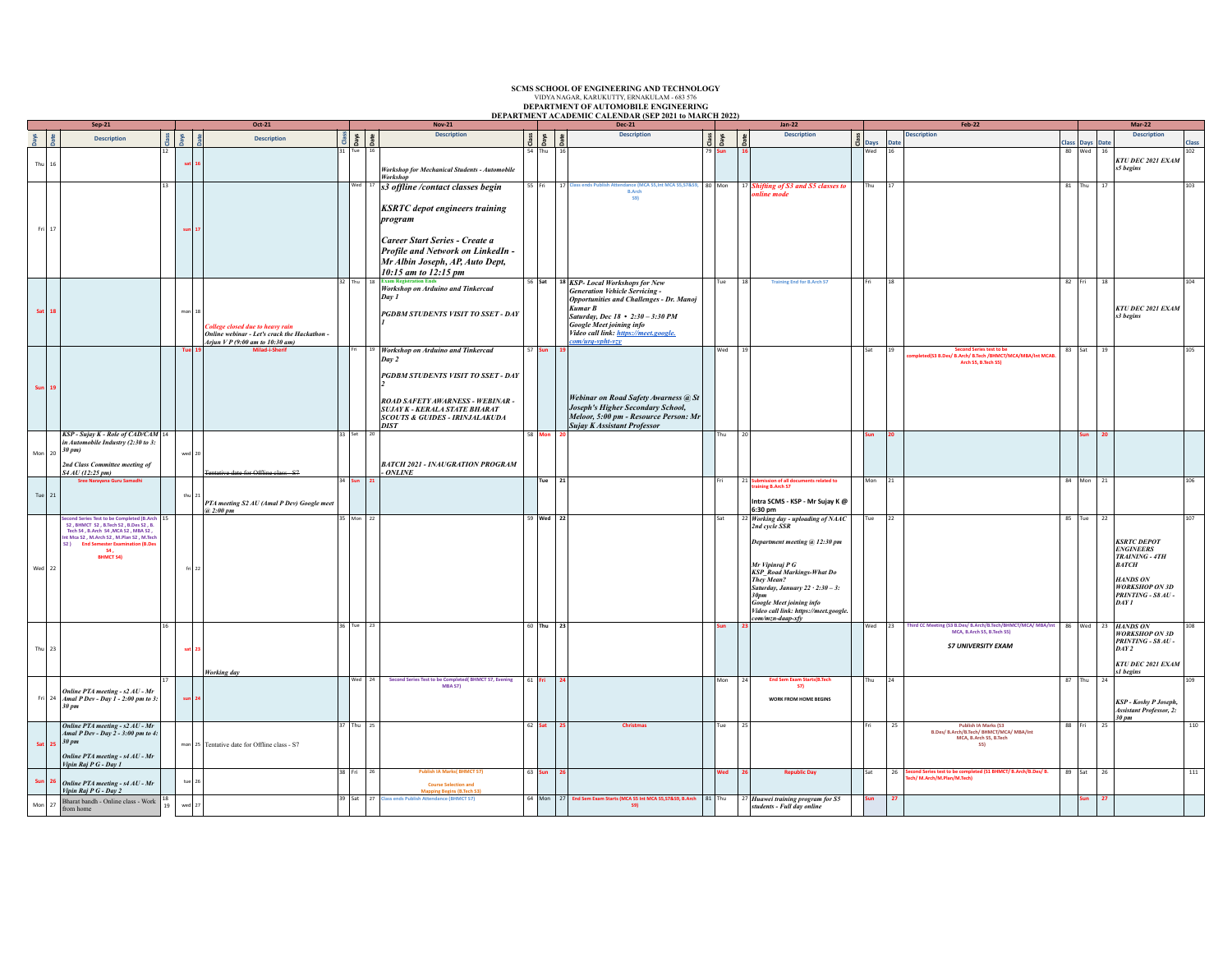|             | $Sep-21$                                                                                                                                                                                                                                    |    | Oct-21 |                                                                                                                            | ,,,,,,,,,,,,<br><b>Nov-21</b>  |                                                                                                                                                                                                                                           |          | <b>Dec-21</b> |                                                                                                                                                                                                                                                                                              |  |          |                | $Jan-22$                                                                                                                                                                                                                                                                                               |  |             | <b>Feb-22</b>                                                                                                                 |          |                              | $Mar-22$                                                                                                                                           |       |
|-------------|---------------------------------------------------------------------------------------------------------------------------------------------------------------------------------------------------------------------------------------------|----|--------|----------------------------------------------------------------------------------------------------------------------------|--------------------------------|-------------------------------------------------------------------------------------------------------------------------------------------------------------------------------------------------------------------------------------------|----------|---------------|----------------------------------------------------------------------------------------------------------------------------------------------------------------------------------------------------------------------------------------------------------------------------------------------|--|----------|----------------|--------------------------------------------------------------------------------------------------------------------------------------------------------------------------------------------------------------------------------------------------------------------------------------------------------|--|-------------|-------------------------------------------------------------------------------------------------------------------------------|----------|------------------------------|----------------------------------------------------------------------------------------------------------------------------------------------------|-------|
|             | <b>Description</b>                                                                                                                                                                                                                          |    | iys    | <b>Description</b>                                                                                                         | $\frac{d}{d}$ as $\frac{d}{d}$ | <b>Description</b>                                                                                                                                                                                                                        | Class    | pays          | <b>Description</b>                                                                                                                                                                                                                                                                           |  |          |                | <b>Description</b>                                                                                                                                                                                                                                                                                     |  |             | <b>Description</b><br><b>Date</b>                                                                                             |          |                              | <b>Description</b>                                                                                                                                 | Class |
| 16          |                                                                                                                                                                                                                                             | 12 |        |                                                                                                                            | 31 Tue                         | <b>Workshop for Mechanical Students - Automobile</b><br>Workshop                                                                                                                                                                          |          | $54$ Thu      | 16                                                                                                                                                                                                                                                                                           |  | 79   Sun |                |                                                                                                                                                                                                                                                                                                        |  | Days<br>Wed | 16                                                                                                                            |          | Class Days Date<br>80 Wed 16 | KTU DEC 2021 EXAM<br>s5 begins                                                                                                                     | 102   |
|             |                                                                                                                                                                                                                                             | 13 |        |                                                                                                                            |                                | $\sqrt{\frac{1}{12}}$ s3 offline /contact classes begin<br><b>KSRTC</b> depot engineers training<br>program<br>Career Start Series - Create a<br>Profile and Network on LinkedIn -<br>Mr Albin Joseph, AP, Auto Dept,                     |          | 55 Fri        | ance (MCA S5, Int MCA S5, S7&S9, 80 Mon<br>17<br><b>R.Arch</b><br><b>S91</b>                                                                                                                                                                                                                 |  |          |                | <sup>17</sup> Shifting of S3 and S5 classes to<br>nline mode                                                                                                                                                                                                                                           |  | Thu         | 17                                                                                                                            |          | 81 Thu 17                    |                                                                                                                                                    | 103   |
|             |                                                                                                                                                                                                                                             |    | mon    | <b>College closed due to heavy rain</b><br>Online webinar - Let's crack the Hackathon -<br>Arjun V P (9:00 am to 10:30 am) |                                | 10:15 am to 12:15 pm<br><b>Workshop on Arduino and Tinkercad</b><br>Day 1<br>PGDBM STUDENTS VISIT TO SSET - DAY                                                                                                                           |          | $56$ Sat      | <sup>18</sup> KSP- Local Workshops for New<br><b>Generation Vehicle Servicing -</b><br><b>Opportunities and Challenges - Dr. Manoj</b><br><b>Kumar B</b><br>Saturday, Dec 18 • 2:30 - 3:30 PM<br><b>Google Meet joining info</b><br>Video call link: https://meet.google.<br>om/urq-vpht-vzy |  | Tue      |                | <b>Training End for B.Arch S7</b>                                                                                                                                                                                                                                                                      |  |             | 18                                                                                                                            | $82$ Fri |                              | 18<br>KTU DEC 2021 EXAM<br>s3 begins                                                                                                               | 104   |
|             |                                                                                                                                                                                                                                             |    |        | Milad-i-Sher                                                                                                               |                                | <sup>19</sup> Workshop on Arduino and Tinkercad<br>Day 2<br><b>PGDBM STUDENTS VISIT TO SSET - DAY</b><br><b>ROAD SAFETY AWARNESS - WEBINAR -</b><br><b>SUJAY K - KERALA STATE BHARAT</b><br>SCOUTS & GUIDES - IRINJALAKUDA<br><b>DIST</b> |          | $57$ Sun      | Webinar on Road Safety Awarness @ St<br>Joseph's Higher Secondary School,<br>Meloor, 5:00 pm - Resource Person: Mr<br><b>Sujay K Assistant Professor</b>                                                                                                                                     |  | Wed      | 10             |                                                                                                                                                                                                                                                                                                        |  | Sat         | <b>Second Series test to be</b><br>19<br>pleted(S3 B.Des/ B.Arch/ B.Tech /BHMCT/MCA/MBA/Int MCAB<br>Arch S5, B.Tech S5)       | $83$ Sat |                              | 19                                                                                                                                                 | 105   |
| Mon 20      | KSP - Sujay K - Role of CAD/CAM 14<br>in Automobile Industry (2:30 to 3:<br>30 pm)<br>2nd Class Committee meeting of<br>S4 AU (12:25 pm)                                                                                                    |    | wed    | data for Offlina class 27                                                                                                  | 33 Sat                         | 120<br><b>BATCH 2021 - INAUGRATION PROGRAM</b><br>$-$ ONLINE                                                                                                                                                                              |          | 58 Mo         |                                                                                                                                                                                                                                                                                              |  | Thu      | $\frac{1}{20}$ |                                                                                                                                                                                                                                                                                                        |  |             |                                                                                                                               |          |                              | 20                                                                                                                                                 |       |
| Tue $21$    |                                                                                                                                                                                                                                             |    |        | PTA meeting S2 AU (Amal P Dev) Google meet<br>@ 2:00 pm                                                                    | 34 Su                          |                                                                                                                                                                                                                                           |          | Tue $21$      |                                                                                                                                                                                                                                                                                              |  |          | 21             | nts related to<br>ssion of all doc<br>ing B.Arch S7<br>Intra SCMS - KSP - Mr Sujay K @<br>6:30 pm                                                                                                                                                                                                      |  | Mon         | 21                                                                                                                            |          | 84 Mon 21                    |                                                                                                                                                    | 106   |
| Wed $22$    | cond Series Test to be Completed (B.Arch 15<br>S2, BHMCT S2, B.Tech S2, B.Des S2, B.<br>Tech S4, B.Arch S4, MCA S2, MBA S2,<br>Int Mca S2, M.Arch S2, M.Plan S2, M.Tech<br><b>End Semester Examination (B.De</b><br>S21<br><b>BHMCT S4)</b> |    | fri :  |                                                                                                                            | $25$ Mon $22$                  |                                                                                                                                                                                                                                           |          | 59 Wed 22     |                                                                                                                                                                                                                                                                                              |  | Isat     |                | 22 Working day - uploading of NAAC<br>2nd cycle SSR<br>Department meeting @ 12:30 pm<br>Mr Vipinraj P G<br>KSP_Road Markings-What Do<br>They Mean?<br>Saturday, January $22 \cdot 2 : 30 - 3$ :<br>30pm<br><b>Google Meet joining info</b><br>Video call link: https://meet.google.<br>om/mzn-daap-xfy |  | Tue         | 22                                                                                                                            |          | 85 Tue 22                    | <b>KSRTC DEPOT</b><br><b>ENGINEERS</b><br>TRAINING - 4TH<br><b>BATCH</b><br><b>HANDS ON</b><br><b>WORKSHOP ON 3D</b><br>PRINTING - S8 AU -<br>DAYI | 107   |
| Thu $23$    |                                                                                                                                                                                                                                             | 16 | sat    | Working day                                                                                                                | 36 Tue 23                      |                                                                                                                                                                                                                                           |          | $60$ Thu 23   |                                                                                                                                                                                                                                                                                              |  | Sun      |                |                                                                                                                                                                                                                                                                                                        |  | l Wed       | Third CC Meeting (S3 B.Des/ B.Arch/B.Tech/BHMCT/MCA/ MBA/Int<br>23<br>MCA, B.Arch S5, B.Tech S5)<br><b>S7 UNIVERSITY EXAM</b> |          |                              | 86 Wed 23 HANDS ON<br><b>WORKSHOP ON 3D</b><br>PRINTING - S8 AU -<br>DAY2<br>KTU DEC 2021 EXAM<br>s1 begins                                        | 108   |
| $Fr1$ 24    | Online PTA meeting - s2 AU - Mr<br>Amal P Dev - Day 1 - 2:00 pm to 3:<br>30 pm                                                                                                                                                              |    |        |                                                                                                                            |                                | Second Series Test to be Completed(BHMCT S7, Evening<br>MBA S7)                                                                                                                                                                           | $61$ Fri |               |                                                                                                                                                                                                                                                                                              |  | Mon      |                | <b>End Sem Exam Starts(B.Tec</b><br>57)<br><b>WORK FROM HOME BEGINS</b>                                                                                                                                                                                                                                |  | Thu         | 24                                                                                                                            | $87$ Thu |                              | 24<br><b>KSP</b> - Koshy P Joseph,<br><b>Assistant Professor, 2:</b><br>30 pm                                                                      |       |
| <b>Sat</b>  | Online PTA meeting - s2 AU - Mr<br>Amal P Dev - Day 2 - 3:00 pm to 4:<br>30 pm<br>Online PTA meeting - s4 AU - Mr<br>Vipin Raj P G - Day 1                                                                                                  |    |        | mon 25 Tentative date for Offline class - S7                                                                               | 37 Thu 25                      |                                                                                                                                                                                                                                           |          | $62$ Sat      | Christmas<br>ء ا                                                                                                                                                                                                                                                                             |  | Tue      | 2 <sup>i</sup> |                                                                                                                                                                                                                                                                                                        |  |             | <b>Publish IA Marks (S3</b><br>25<br>B.Des/ B.Arch/B.Tech/ BHMCT/MCA/ MBA/Int<br>MCA, B.Arch S5, B.Tech<br><b>SS)</b>         | 88 Fr    |                              | 25                                                                                                                                                 | 110   |
|             | Online PTA meeting - s4 AU - Mr<br>Vipin Raj P G - Day 2                                                                                                                                                                                    |    | tue    |                                                                                                                            | 38 Fri 26                      | <b>Publish IA Marks( BHMCT S7)</b><br><b>Course Selection and</b><br><b>Mapping Begins (B.Tech S3)</b>                                                                                                                                    |          | 63 Sun 26     |                                                                                                                                                                                                                                                                                              |  | Wed      |                | <b>Republic Day</b>                                                                                                                                                                                                                                                                                    |  | <b>Sat</b>  | 26 Second Series test to be completed (S1 BHMCT/ B.Arch/B.Des/ B.<br>h/ M.Arch/M.Plan/M.Tech)                                 | 89 Sat   |                              | 26                                                                                                                                                 | 111   |
| 27<br>Mon I | Bharat bandh - Online class - Work 18<br>from home                                                                                                                                                                                          |    | wed    |                                                                                                                            |                                | 39 Sat 27 Class ends Publish Attendance (BHMCT S7)                                                                                                                                                                                        |          |               | 64 Mon 27 End Sem Exam Starts (MCA S5 Int MCA S5, S7&S9, B.Arch 81 Thu<br><b>S91</b>                                                                                                                                                                                                         |  |          |                | 27 Huawei training program for S5<br>students - Full day online                                                                                                                                                                                                                                        |  | <b>Sun</b>  | 27                                                                                                                            |          |                              | 27                                                                                                                                                 |       |

SCMS SCHOOL OF ENGINEERING AND TECHNOLOGY<br>VIDYA NAGAR, KARUKUTTY, ERNAKULAM - 683 576<br>DEPARTMENT OF AUTOMOBILE ENGINEERING<br>DEPARTMENT ACADEMIC CALENDAR (SEP 2021 to MARCH 2022)